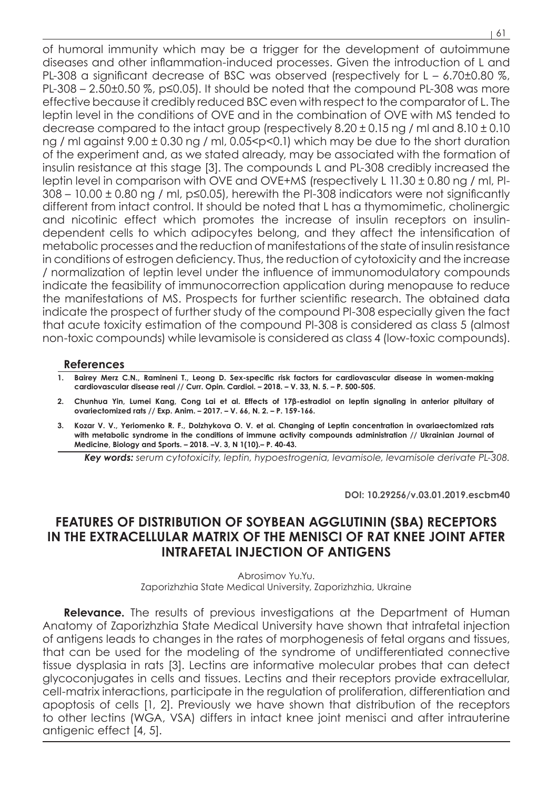of humoral immunity which may be a trigger for the development of autoimmune diseases and other inflammation-induced processes. Given the introduction of L and PL-308 a significant decrease of BSC was observed (respectively for L – 6.70±0.80 %, PL-308 – 2.50±0.50 %, p≤0.05). It should be noted that the compound PL-308 was more effective because it credibly reduced BSC even with respect to the comparator of L. The leptin level in the conditions of OVE and in the combination of OVE with MS tended to decrease compared to the intact group (respectively  $8.20 \pm 0.15$  ng / ml and  $8.10 \pm 0.10$ ng / ml against 9.00 ± 0.30 ng / ml, 0.05<р<0.1) which may be due to the short duration of the experiment and, as we stated already, may be associated with the formation of insulin resistance at this stage [3]. The compounds L and PL-308 credibly increased the leptin level in comparison with OVE and OVE+MS (respectively L 11.30 ± 0.80 ng / ml, Pl- $308 - 10.00 \pm 0.80$  ng / ml, p $\leq 0.05$ ), herewith the PI-308 indicators were not significantly different from intact control. It should be noted that L has a thymomimetic, cholinergic and nicotinic effect which promotes the increase of insulin receptors on insulindependent cells to which adipocytes belong, and they affect the intensification of metabolic processes and the reduction of manifestations of the state of insulin resistance in conditions of estrogen deficiency. Thus, the reduction of cytotoxicity and the increase / normalization of leptin level under the influence of immunomodulatory compounds indicate the feasibility of immunocorrection application during menopause to reduce

the manifestations of MS. Prospects for further scientific research. The obtained data indicate the prospect of further study of the compound Pl-308 especially given the fact that acute toxicity estimation of the compound Pl-308 is considered as class 5 (almost non-toxic compounds) while levamisole is considered as class 4 (low-toxic compounds).

## **References**

- **1. Bairey Merz C.N., Ramineni T., Leong D. Sex-specific risk factors for cardiovascular disease in women-making cardiovascular disease real // Curr. Opin. Cardiol. – 2018. – V. 33, N. 5. – P. 500-505.**
- **2. Chunhua Yin, Lumei Kang, Cong Lai et al. Effects of 17β-estradiol on leptin signaling in anterior pituitary of ovariectomized rats // Exp. Anim. – 2017. – V. 66, N. 2. – P. 159-166.**
- **3. Kozar V. V., Yeriomenko R. F., Dolzhykova O. V. et al. Changing of Leptin concentration in ovariaectomized rats**  with metabolic syndrome in the conditions of immune activity compounds administration // Ukrainian Journal of **Medicine, Biology and Sports. – 2018. –V. 3, N 1(10).– P. 40-43.**

*Кey words: serum cytotoxicity, leptin, hypoestrogenia, levamisole, levamisole derivate PL-308.*

**DOI: 10.29256/v.03.01.2019.escbm40**

## **FEATURES OF DISTRIBUTION OF SOYBEAN AGGLUTININ (SBA) RECEPTORS IN THE EXTRACELLULAR MATRIX OF THE MENISCI OF RAT KNEE JOINT AFTER INTRAFETAL INJECTION OF ANTIGENS**

Abrosimov Yu.Yu. Zaporizhzhia State Medical University, Zaporizhzhia, Ukraine

**Relevance.** The results of previous investigations at the Department of Human Anatomy of Zaporizhzhia State Medical University have shown that intrafetal injection of antigens leads to changes in the rates of morphogenesis of fetal organs and tissues, that can be used for the modeling of the syndrome of undifferentiated connective tissue dysplasia in rats [3]. Lectins are informative molecular probes that can detect glycoconjugates in cells and tissues. Lectins and their receptors provide extracellular, cell-matrix interactions, participate in the regulation of proliferation, differentiation and apoptosis of cells [1, 2]. Previously we have shown that distribution of the receptors to other lectins (WGA, VSA) differs in intact knee joint menisci and after intrauterine antigenic effect [4, 5].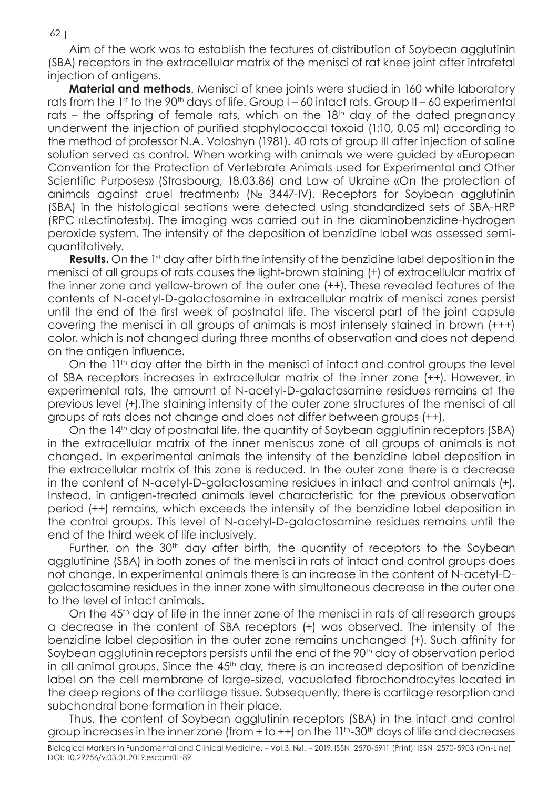Aim of the work was to establish the features of distribution of Soybean agglutinin (SBA) receptors in the extracellular matrix of the menisci of rat knee joint after intrafetal injection of antigens.

**Material and methods**. Menisci of knee joints were studied in 160 white laboratory rats from the 1st to the 90<sup>th</sup> days of life. Group  $I - 60$  intact rats. Group  $II - 60$  experimental rats – the offspring of female rats, which on the 18<sup>th</sup> day of the dated pregnancy underwent the injection of purified staphylococcal toxoid (1:10, 0.05 ml) according to the method of professor N.A. Voloshyn (1981). 40 rats of group III after injection of saline solution served as control. When working with animals we were guided by «European Convention for the Protection of Vertebrate Animals used for Experimental and Other Scientific Purposes» (Strasbourg, 18.03.86) and Law of Ukraine «On the protection of animals against cruel treatment» (№ 3447-IV). Receptors for Soybean agglutinin (SBA) in the histological sections were detected using standardized sets of SBA-HRP (RPC «Lectinotest»). The imaging was carried out in the diaminobenzidine-hydrogen peroxide system. The intensity of the deposition of benzidine label was assessed semiquantitatively.

**Results.** On the 1<sup>st</sup> day after birth the intensity of the benzidine label deposition in the menisci of all groups of rats causes the light-brown staining (+) of extracellular matrix of the inner zone and yellow-brown of the outer one (++). These revealed features of the contents of N-acetyl-D-galactosamine in extracellular matrix of menisci zones persist until the end of the first week of postnatal life. The visceral part of the joint capsule covering the menisci in all groups of animals is most intensely stained in brown (+++) color, which is not changed during three months of observation and does not depend on the antigen influence.

On the 11<sup>th</sup> day after the birth in the menisci of intact and control groups the level of SBA receptors increases in extracellular matrix of the inner zone (++). However, in experimental rats, the amount of N-acetyl-D-galactosamine residues remains at the previous level (+).The staining intensity of the outer zone structures of the menisci of all groups of rats does not change and does not differ between groups (++).

On the 14<sup>th</sup> day of postnatal life, the quantity of Soybean agglutinin receptors (SBA) in the extracellular matrix of the inner meniscus zone of all groups of animals is not changed. In experimental animals the intensity of the benzidine label deposition in the extracellular matrix of this zone is reduced. In the outer zone there is a decrease in the content of N-acetyl-D-galactosamine residues in intact and control animals (+). Instead, in antigen-treated animals level characteristic for the previous observation period (++) remains, which exceeds the intensity of the benzidine label deposition in the control groups. This level of N-acetyl-D-galactosamine residues remains until the end of the third week of life inclusively.

Further, on the 30<sup>th</sup> day after birth, the quantity of receptors to the Soybean agglutinine (SBA) in both zones of the menisci in rats of intact and control groups does not change. In experimental animals there is an increase in the content of N-acetyl-Dgalactosamine residues in the inner zone with simultaneous decrease in the outer one to the level of intact animals.

On the 45<sup>th</sup> day of life in the inner zone of the menisci in rats of all research groups a decrease in the content of SBA receptors (+) was observed. The intensity of the benzidine label deposition in the outer zone remains unchanged (+). Such affinity for Soybean agglutinin receptors persists until the end of the 90<sup>th</sup> day of observation period in all animal groups. Since the  $45<sup>th</sup>$  day, there is an increased deposition of benzidine label on the cell membrane of large-sized, vacuolated fibrochondrocytes located in the deep regions of the cartilage tissue. Subsequently, there is cartilage resorption and subchondral bone formation in their place.

Thus, the content of Soybean agglutinin receptors (SBA) in the intact and control group increases in the inner zone (from  $+$  to  $++$ ) on the  $11<sup>th</sup>$ -30<sup>th</sup> days of life and decreases